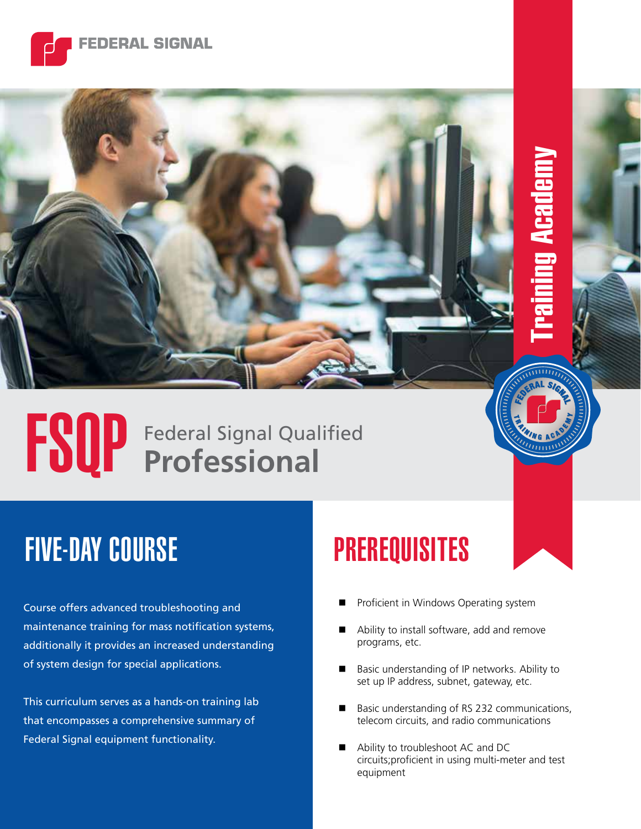

# FSQP Federal Signal Qualified

# FIVE-DAY COURSE PREREQUISITES

Course offers advanced troubleshooting and maintenance training for mass notification systems, additionally it provides an increased understanding of system design for special applications.

This curriculum serves as a hands-on training lab that encompasses a comprehensive summary of Federal Signal equipment functionality.

Proficient in Windows Operating system

Training Academy

- Ability to install software, add and remove programs, etc.
- Basic understanding of IP networks. Ability to set up IP address, subnet, gateway, etc.
- Basic understanding of RS 232 communications, telecom circuits, and radio communications
- Ability to troubleshoot AC and DC circuits;proficient in using multi-meter and test equipment